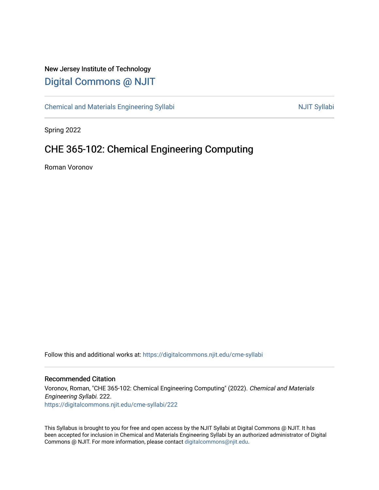# New Jersey Institute of Technology [Digital Commons @ NJIT](https://digitalcommons.njit.edu/)

[Chemical and Materials Engineering Syllabi](https://digitalcommons.njit.edu/cme-syllabi) Nulle and Syllabi Nulle Syllabi Nulle Syllabi Nulle Syllabi Nulle Syllabi

Spring 2022

# CHE 365-102: Chemical Engineering Computing

Roman Voronov

Follow this and additional works at: [https://digitalcommons.njit.edu/cme-syllabi](https://digitalcommons.njit.edu/cme-syllabi?utm_source=digitalcommons.njit.edu%2Fcme-syllabi%2F222&utm_medium=PDF&utm_campaign=PDFCoverPages) 

#### Recommended Citation

Voronov, Roman, "CHE 365-102: Chemical Engineering Computing" (2022). Chemical and Materials Engineering Syllabi. 222. [https://digitalcommons.njit.edu/cme-syllabi/222](https://digitalcommons.njit.edu/cme-syllabi/222?utm_source=digitalcommons.njit.edu%2Fcme-syllabi%2F222&utm_medium=PDF&utm_campaign=PDFCoverPages) 

This Syllabus is brought to you for free and open access by the NJIT Syllabi at Digital Commons @ NJIT. It has been accepted for inclusion in Chemical and Materials Engineering Syllabi by an authorized administrator of Digital Commons @ NJIT. For more information, please contact [digitalcommons@njit.edu.](mailto:digitalcommons@njit.edu)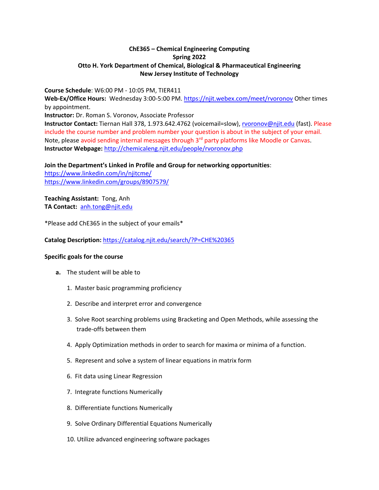#### **ChE365 – Chemical Engineering Computing Spring 2022 Otto H. York Department of Chemical, Biological & Pharmaceutical Engineering New Jersey Institute of Technology**

**Course Schedule**: W6:00 PM - 10:05 PM, TIER411

**Web-Ex/Office Hours:** Wednesday 3:00-5:00 PM.<https://njit.webex.com/meet/rvoronov> Other times by appointment.

**Instructor:** Dr. Roman S. Voronov, Associate Professor

**Instructor Contact:** Tiernan Hall 378, 1.973.642.4762 (voicemail=slow), [rvoronov@njit.edu](mailto:roman.s.voronov@njit.edu) (fast). Please include the course number and problem number your question is about in the subject of your email. Note, please avoid sending internal messages through  $3<sup>rd</sup>$  party platforms like Moodle or Canvas. **Instructor Webpage:** <http://chemicaleng.njit.edu/people/rvoronov.php>

**Join the Department's Linked in Profile and Group for networking opportunities**:

<https://www.linkedin.com/in/njitcme/> <https://www.linkedin.com/groups/8907579/>

**Teaching Assistant:** Tong, Anh **TA Contact:** [anh.tong@njit.edu](mailto:anh.tong@njit.edu)

\*Please add ChE365 in the subject of your emails\*

**Catalog Description:** <https://catalog.njit.edu/search/?P=CHE%20365>

#### **Specific goals for the course**

- **a.** The student will be able to
	- 1. Master basic programming proficiency
	- 2. Describe and interpret error and convergence
	- 3. Solve Root searching problems using Bracketing and Open Methods, while assessing the trade-offs between them
	- 4. Apply Optimization methods in order to search for maxima or minima of a function.
	- 5. Represent and solve a system of linear equations in matrix form
	- 6. Fit data using Linear Regression
	- 7. Integrate functions Numerically
	- 8. Differentiate functions Numerically
	- 9. Solve Ordinary Differential Equations Numerically
	- 10. Utilize advanced engineering software packages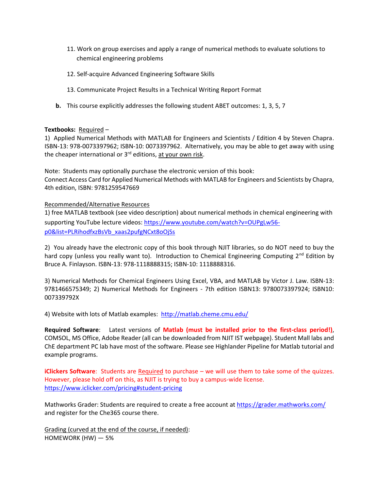- 11. Work on group exercises and apply a range of numerical methods to evaluate solutions to chemical engineering problems
- 12. Self-acquire Advanced Engineering Software Skills
- 13. Communicate Project Results in a Technical Writing Report Format
- **b.** This course explicitly addresses the following student ABET outcomes: 1, 3, 5, 7

#### **Textbooks:** Required –

1) Applied Numerical Methods with MATLAB for Engineers and Scientists / Edition 4 by Steven Chapra. ISBN-13: 978-0073397962; ISBN-10: 0073397962. Alternatively, you may be able to get away with using the cheaper international or  $3<sup>rd</sup>$  editions, at your own risk.

Note: Students may optionally purchase the electronic version of this book: Connect Access Card for Applied Numerical Methods with MATLAB for Engineers and Scientists by Chapra, 4th edition, ISBN: 9781259547669

Recommended/Alternative Resources

1) free MATLAB textbook (see video description) about numerical methods in chemical engineering with supporting YouTube lecture videos: [https://www.youtube.com/watch?v=OUPgLw56](https://www.youtube.com/watch?v=OUPgLw56-p0&list=PLRihodfxzBsVb_xaas2pufgNCxt8oOjSs) [p0&list=PLRihodfxzBsVb\\_xaas2pufgNCxt8oOjSs](https://www.youtube.com/watch?v=OUPgLw56-p0&list=PLRihodfxzBsVb_xaas2pufgNCxt8oOjSs)

2) You already have the electronic copy of this book through NJIT libraries, so do NOT need to buy the hard copy (unless you really want to). Introduction to Chemical Engineering Computing  $2^{nd}$  Edition by Bruce A. Finlayson. ISBN-13: 978-1118888315; ISBN-10: 1118888316.

3) Numerical Methods for Chemical Engineers Using Excel, VBA, and MATLAB by Victor J. Law. ISBN-13: 9781466575349; 2) Numerical Methods for Engineers - 7th edition ISBN13: 9780073397924; ISBN10: 007339792X

4) Website with lots of Matlab examples: <http://matlab.cheme.cmu.edu/>

**Required Software**: Latest versions of **Matlab (must be installed prior to the first-class period!)**, COMSOL, MS Office, Adobe Reader (all can be downloaded from NJIT IST webpage). Student Mall labs and ChE department PC lab have most of the software. Please see Highlander Pipeline for Matlab tutorial and example programs.

**iClickers Software**: Students are Required to purchase – we will use them to take some of the quizzes. However, please hold off on this, as NJIT is trying to buy a campus-wide license. <https://www.iclicker.com/pricing#student-pricing>

Mathworks Grader: Students are required to create a free account at<https://grader.mathworks.com/> and register for the Che365 course there.

Grading (curved at the end of the course, if needed): HOMEWORK (HW) — 5%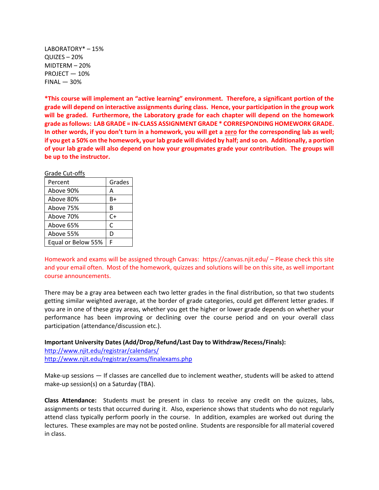LABORATORY\* – 15% QUIZES – 20% MIDTERM – 20% PROJECT — 10%  $FINAL - 30%$ 

**\*This course will implement an "active learning" environment. Therefore, a significant portion of the grade will depend on interactive assignments during class. Hence, your participation in the group work will be graded. Furthermore, the Laboratory grade for each chapter will depend on the homework grade as follows: LAB GRADE = IN-CLASS ASSIGNMENT GRADE \* CORRESPONDING HOMEWORK GRADE. In other words, if you don't turn in a homework, you will get a zero for the corresponding lab as well; if you get a 50% on the homework, your lab grade will divided by half; and so on. Additionally, a portion of your lab grade will also depend on how your groupmates grade your contribution. The groups will be up to the instructor.**

| Grade Cut-offs     |        |
|--------------------|--------|
| Percent            | Grades |
| Above 90%          | А      |
| Above 80%          | B+     |
| Above 75%          | В      |
| Above 70%          | C+     |
| Above 65%          | C      |
| Above 55%          | D      |
| Equal or Below 55% | F      |

Homework and exams will be assigned through Canvas: https://canvas.njit.edu/ – Please check this site and your email often. Most of the homework, quizzes and solutions will be on this site, as well important course announcements.

There may be a gray area between each two letter grades in the final distribution, so that two students getting similar weighted average, at the border of grade categories, could get different letter grades. If you are in one of these gray areas, whether you get the higher or lower grade depends on whether your performance has been improving or declining over the course period and on your overall class participation (attendance/discussion etc.).

**Important University Dates (Add/Drop/Refund/Last Day to Withdraw/Recess/Finals):** 

[http://www.njit.edu/registrar/calendars/](http://www.njit.edu/registrar/calendars/2014Fall.php) <http://www.njit.edu/registrar/exams/finalexams.php>

Make-up sessions — If classes are cancelled due to inclement weather, students will be asked to attend make-up session(s) on a Saturday (TBA).

**Class Attendance:** Students must be present in class to receive any credit on the quizzes, labs, assignments or tests that occurred during it. Also, experience shows that students who do not regularly attend class typically perform poorly in the course. In addition, examples are worked out during the lectures. These examples are may not be posted online. Students are responsible for all material covered in class.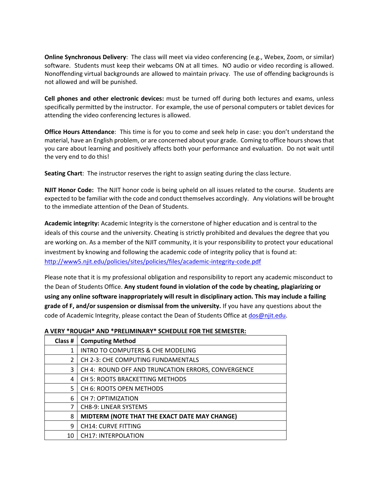**Online Synchronous Delivery**: The class will meet via video conferencing (e.g., Webex, Zoom, or similar) software. Students must keep their webcams ON at all times. NO audio or video recording is allowed. Nonoffending virtual backgrounds are allowed to maintain privacy. The use of offending backgrounds is not allowed and will be punished.

**Cell phones and other electronic devices:** must be turned off during both lectures and exams, unless specifically permitted by the instructor. For example, the use of personal computers or tablet devices for attending the video conferencing lectures is allowed.

**Office Hours Attendance**: This time is for you to come and seek help in case: you don't understand the material, have an English problem, or are concerned about your grade. Coming to office hours shows that you care about learning and positively affects both your performance and evaluation. Do not wait until the very end to do this!

**Seating Chart**: The instructor reserves the right to assign seating during the class lecture.

**NJIT Honor Code:** The NJIT honor code is being upheld on all issues related to the course. Students are expected to be familiar with the code and conduct themselves accordingly. Any violations will be brought to the immediate attention of the Dean of Students.

**Academic integrity:** Academic Integrity is the cornerstone of higher education and is central to the ideals of this course and the university. Cheating is strictly prohibited and devalues the degree that you are working on. As a member of the NJIT community, it is your responsibility to protect your educational investment by knowing and following the academic code of integrity policy that is found at: <http://www5.njit.edu/policies/sites/policies/files/academic-integrity-code.pdf>

Please note that it is my professional obligation and responsibility to report any academic misconduct to the Dean of Students Office. **Any student found in violation of the code by cheating, plagiarizing or using any online software inappropriately will result in disciplinary action. This may include a failing grade of F, and/or suspension or dismissal from the university.** If you have any questions about the code of Academic Integrity, please contact the Dean of Students Office a[t dos@njit.edu.](mailto:dos@njit.edu)

# **A VERY \*ROUGH\* AND \*PRELIMINARY\* SCHEDULE FOR THE SEMESTER:**

| Class # | <b>Computing Method</b>                            |
|---------|----------------------------------------------------|
| 1       | <b>INTRO TO COMPUTERS &amp; CHE MODELING</b>       |
| 2       | CH 2-3: CHE COMPUTING FUNDAMENTALS                 |
| 3       | CH 4: ROUND OFF AND TRUNCATION ERRORS, CONVERGENCE |
| 4       | <b>CH 5: ROOTS BRACKETTING METHODS</b>             |
| 5       | CH 6: ROOTS OPEN METHODS                           |
| 6       | <b>CH 7: OPTIMIZATION</b>                          |
| 7       | <b>CH8-9: LINEAR SYSTEMS</b>                       |
| 8       | MIDTERM (NOTE THAT THE EXACT DATE MAY CHANGE)      |
| 9       | <b>CH14: CURVE FITTING</b>                         |
| 10      | <b>CH17: INTERPOLATION</b>                         |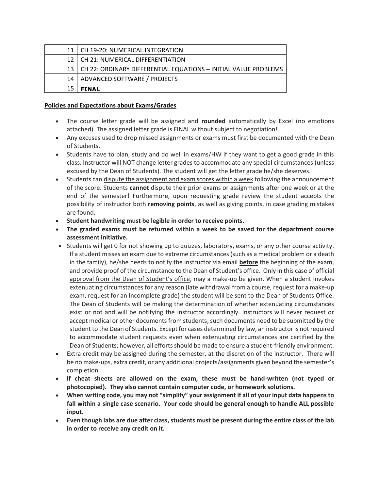|                 | CH 19-20: NUMERICAL INTEGRATION                                 |
|-----------------|-----------------------------------------------------------------|
| 12 <sub>1</sub> | CH 21: NUMERICAL DIFFERENTIATION                                |
| 13              | CH 22: ORDINARY DIFFERENTIAL EQUATIONS - INITIAL VALUE PROBLEMS |
| 14              | ADVANCED SOFTWARE / PROJECTS                                    |
| 15              | <b>FINAL</b>                                                    |

#### **Policies and Expectations about Exams/Grades**

- The course letter grade will be assigned and **rounded** automatically by Excel (no emotions attached). The assigned letter grade is FINAL without subject to negotiation!
- Any excuses used to drop missed assignments or exams must first be documented with the Dean of Students.
- Students have to plan, study and do well in exams/HW if they want to get a good grade in this class. Instructor will NOT change letter grades to accommodate any special circumstances (unless excused by the Dean of Students). The student will get the letter grade he/she deserves.
- Students can dispute the assignment and exam scores within a week following the announcement of the score. Students **cannot** dispute their prior exams or assignments after one week or at the end of the semester! Furthermore, upon requesting grade review the student accepts the possibility of instructor both **removing points**, as well as giving points, in case grading mistakes are found.
- **Student handwriting must be legible in order to receive points.**
- **The graded exams must be returned within a week to be saved for the department course assessment initiative.**
- Students will get 0 for not showing up to quizzes, laboratory, exams, or any other course activity. If a student misses an exam due to extreme circumstances (such as a medical problem or a death in the family), he/she needs to notify the instructor via email **before** the beginning of the exam, and provide proof of the circumstance to the Dean of Student's office. Only in this case of official approval from the Dean of Student's office, may a make-up be given. When a student invokes extenuating circumstances for any reason (late withdrawal from a course, request for a make-up exam, request for an Incomplete grade) the student will be sent to the Dean of Students Office. The Dean of Students will be making the determination of whether extenuating circumstances exist or not and will be notifying the instructor accordingly. Instructors will never request or accept medical or other documents from students; such documents need to be submitted by the student to the Dean of Students. Except for cases determined by law, an instructor is not required to accommodate student requests even when extenuating circumstances are certified by the Dean of Students; however, all efforts should be made to ensure a student-friendly environment.
- Extra credit may be assigned during the semester, at the discretion of the instructor. There will be no make-ups, extra credit, or any additional projects/assignments given beyond the semester's completion.
- **If cheat sheets are allowed on the exam, these must be hand-written (not typed or photocopied). They also cannot contain computer code, or homework solutions.**
- **When writing code, you may not "simplify" your assignment if all of your input data happens to fall within a single case scenario. Your code should be general enough to handle ALL possible input.**
- **Even though labs are due after class, students must be present during the entire class of the lab in order to receive any credit on it.**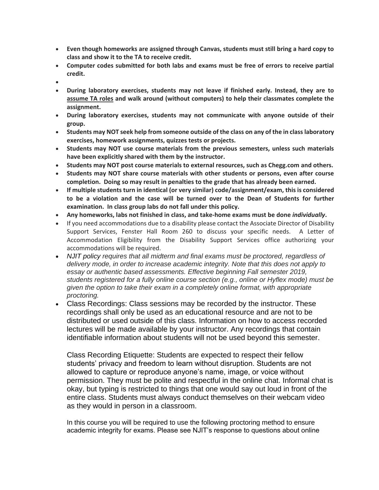- **Even though homeworks are assigned through Canvas, students must still bring a hard copy to class and show it to the TA to receive credit.**
- **Computer codes submitted for both labs and exams must be free of errors to receive partial credit.**
- •
- **During laboratory exercises, students may not leave if finished early. Instead, they are to assume TA roles and walk around (without computers) to help their classmates complete the assignment.**
- **During laboratory exercises, students may not communicate with anyone outside of their group.**
- **Students may NOT seek help from someone outside of the class on any of the in class laboratory exercises, homework assignments, quizzes tests or projects.**
- **Students may NOT use course materials from the previous semesters, unless such materials have been explicitly shared with them by the instructor.**
- **Students may NOT post course materials to external resources, such as Chegg.com and others.**
- **Students may NOT share course materials with other students or persons, even after course completion. Doing so may result in penalties to the grade that has already been earned.**
- **If multiple students turn in identical (or very similar) code/assignment/exam, this is considered to be a violation and the case will be turned over to the Dean of Students for further examination. In class group labs do not fall under this policy.**
- **Any homeworks, labs not finished in class, and take-home exams must be done** *individually***.**
- If you need accommodations due to a disability please contact the Associate Director of Disability Support Services, Fenster Hall Room 260 to discuss your specific needs. A Letter of Accommodation Eligibility from the Disability Support Services office authorizing your accommodations will be required.
- *NJIT policy requires that all midterm and final exams must be proctored, regardless of delivery mode, in order to increase academic integrity. Note that this does not apply to essay or authentic based assessments. Effective beginning Fall semester 2019, students registered for a fully online course section (e.g., online or Hyflex mode) must be given the option to take their exam in a completely online format, with appropriate proctoring.*
- Class Recordings: Class sessions may be recorded by the instructor. These recordings shall only be used as an educational resource and are not to be distributed or used outside of this class. Information on how to access recorded lectures will be made available by your instructor. Any recordings that contain identifiable information about students will not be used beyond this semester.

Class Recording Etiquette: Students are expected to respect their fellow students' privacy and freedom to learn without disruption. Students are not allowed to capture or reproduce anyone's name, image, or voice without permission. They must be polite and respectful in the online chat. Informal chat is okay, but typing is restricted to things that one would say out loud in front of the entire class. Students must always conduct themselves on their webcam video as they would in person in a classroom.

In this course you will be required to use the following proctoring method to ensure academic integrity for exams. Please see NJIT's response to questions about online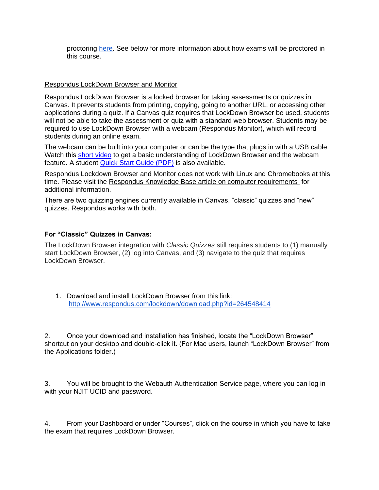proctoring [here.](https://www5.njit.edu/provost/response-questions-about-online-proctoring/) See below for more information about how exams will be proctored in this course.

#### Respondus LockDown Browser and Monitor

Respondus LockDown Browser is a locked browser for taking assessments or quizzes in Canvas. It prevents students from printing, copying, going to another URL, or accessing other applications during a quiz. If a Canvas quiz requires that LockDown Browser be used, students will not be able to take the assessment or quiz with a standard web browser. Students may be required to use LockDown Browser with a webcam (Respondus Monitor), which will record students during an online exam.

The webcam can be built into your computer or can be the type that plugs in with a USB cable. Watch this [short video](http://www.respondus.com/products/lockdown-browser/student-movie.shtml) to get a basic understanding of LockDown Browser and the webcam feature. A student [Quick Start Guide \(PDF\)](http://www.respondus.com/products/monitor/guides.shtml) is also available.

Respondus Lockdown Browser and Monitor does not work with Linux and Chromebooks at this time. Please visit the [Respondus Knowledge Base article on computer requirements](https://support.respondus.com/support/index.php?/Knowledgebase/Article/View/89/25/what-are-the-computer-requirements-for-installations-of-respondus-lockdown-browser) for additional information.

There are two quizzing engines currently available in Canvas, "classic" quizzes and "new" quizzes. Respondus works with both.

#### **For "Classic" Quizzes in Canvas:**

The LockDown Browser integration with *Classic Quizzes* still requires students to (1) manually start LockDown Browser, (2) log into Canvas, and (3) navigate to the quiz that requires LockDown Browser.

1. Download and install LockDown Browser from this link: <http://www.respondus.com/lockdown/download.php?id=264548414>

2. Once your download and installation has finished, locate the "LockDown Browser" shortcut on your desktop and double-click it. (For Mac users, launch "LockDown Browser" from the Applications folder.)

3. You will be brought to the Webauth Authentication Service page, where you can log in with your NJIT UCID and password.

4. From your Dashboard or under "Courses", click on the course in which you have to take the exam that requires LockDown Browser.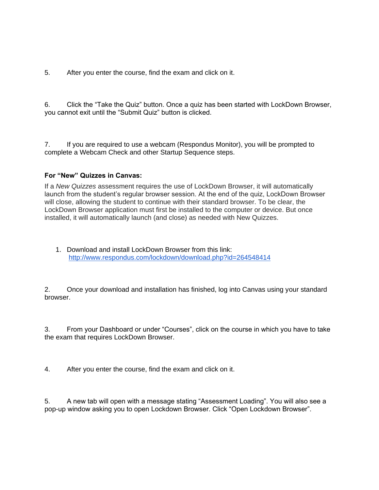5. After you enter the course, find the exam and click on it.

6. Click the "Take the Quiz" button. Once a quiz has been started with LockDown Browser, you cannot exit until the "Submit Quiz" button is clicked.

7. If you are required to use a webcam (Respondus Monitor), you will be prompted to complete a Webcam Check and other Startup Sequence steps.

#### **For "New" Quizzes in Canvas:**

If a *New Quizzes* assessment requires the use of LockDown Browser, it will automatically launch from the student's regular browser session. At the end of the quiz, LockDown Browser will close, allowing the student to continue with their standard browser. To be clear, the LockDown Browser application must first be installed to the computer or device. But once installed, it will automatically launch (and close) as needed with New Quizzes.

1. Download and install LockDown Browser from this link: <http://www.respondus.com/lockdown/download.php?id=264548414>

2. Once your download and installation has finished, log into Canvas using your standard browser.

3. From your Dashboard or under "Courses", click on the course in which you have to take the exam that requires LockDown Browser.

4. After you enter the course, find the exam and click on it.

5. A new tab will open with a message stating "Assessment Loading". You will also see a pop-up window asking you to open Lockdown Browser. Click "Open Lockdown Browser".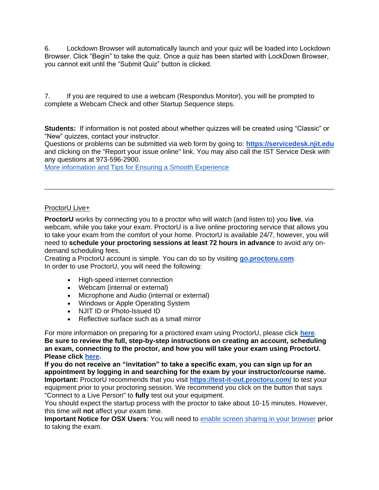6. Lockdown Browser will automatically launch and your quiz will be loaded into Lockdown Browser. Click "Begin" to take the quiz. Once a quiz has been started with LockDown Browser, you cannot exit until the "Submit Quiz" button is clicked.

7. If you are required to use a webcam (Respondus Monitor), you will be prompted to complete a Webcam Check and other Startup Sequence steps.

**Students:** If information is not posted about whether quizzes will be created using "Classic" or "New" quizzes, contact your instructor.

Questions or problems can be submitted via web form by going to: **[https://servicedesk.njit.edu](https://servicedesk.njit.edu/)** and clicking on the "Report your issue online" link. You may also call the IST Service Desk with any questions at 973-596-2900.

[More information and Tips for Ensuring a Smooth Experience](https://ist.njit.edu/cybersecurity/respondus)

# ProctorU Live+

**ProctorU** works by connecting you to a proctor who will watch (and listen to) you **live**, via webcam, while you take your exam. ProctorU is a live online proctoring service that allows you to take your exam from the comfort of your home. ProctorU is available 24/7, however, you will need to **schedule your proctoring sessions at least 72 hours in advance** to avoid any ondemand scheduling fees.

Creating a ProctorU account is simple. You can do so by visiting **[go.proctoru.com](https://go.proctoru.com/session/new)**. In order to use ProctorU, you will need the following:

- High-speed internet connection
- Webcam (internal or external)
- Microphone and Audio (internal or external)
- Windows or Apple Operating System
- NJIT ID or Photo-Issued ID
- Reflective surface such as a small mirror

For more information on preparing for a proctored exam using ProctorU, please click **[here](https://ist.njit.edu/proctoru)**. **Be sure to review the full, step-by-step instructions on creating an account, scheduling an exam, connecting to the proctor, and how you will take your exam using ProctorU. Please click [here.](https://ist.njit.edu/sites/ist/files/STUDENTHowitWorksTestTaker.pdf)**

**If you do not receive an "invitation" to take a specific exam, you can sign up for an appointment by logging in and searching for the exam by your instructor/course name. Important:** ProctorU recommends that you visit **<https://test-it-out.proctoru.com/>** to test your equipment prior to your proctoring session. We recommend you click on the button that says "Connect to a Live Person" to **fully** test out your equipment.

You should expect the startup process with the proctor to take about 10-15 minutes. However, this time will **not** affect your exam time.

**Important Notice for OSX Users**: You will need to [enable screen sharing in your browser](https://support.proctoru.com/hc/en-us/articles/360036574592-MacOS-X-Catalina-Users-Important-Notice) **prior** to taking the exam.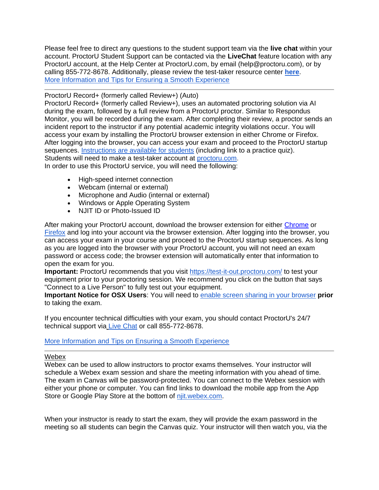Please feel free to direct any questions to the student support team via the **live chat** within your account. ProctorU Student Support can be contacted via the **LiveChat** feature location with any ProctorU account, at the Help Center at ProctorU.com, by email (help@proctoru.com), or by calling 855-772-8678. Additionally, please review the test-taker resource center **[here](https://www.proctoru.com/live-plus-resource-center)**. [More Information and Tips for Ensuring a Smooth Experience](https://ist.njit.edu/cybersecurity/proctoru)

#### ProctorU Record+ (formerly called Review+) (Auto)

ProctorU Record+ (formerly called Review+), uses an automated proctoring solution via AI during the exam, followed by a full review from a ProctorU proctor. Similar to Respondus Monitor, you will be recorded during the exam. After completing their review, a proctor sends an incident report to the instructor if any potential academic integrity violations occur. You will access your exam by installing the ProctorU browser extension in either Chrome or Firefox. After logging into the browser, you can access your exam and proceed to the ProctorU startup sequences. [Instructions are available for students](https://njit.instructure.com/courses/50/pages/review+-instructions-for-students?module_item_id=343848) (including link to a practice quiz). Students will need to make a test-taker account at [proctoru.com.](https://www.proctoru.com/)

In order to use this ProctorU service, you will need the following:

- High-speed internet connection
- Webcam (internal or external)
- Microphone and Audio (internal or external)
- Windows or Apple Operating System
- NJIT ID or Photo-Issued ID

After making your ProctorU account, download the browser extension for either [Chrome](https://chrome.google.com/webstore/detail/proctoru/goobgennebinldhonaajgafidboenlkl) or [Firefox](https://www.proctoru.com/firefox) and log into your account via the browser extension. After logging into the browser, you can access your exam in your course and proceed to the ProctorU startup sequences. As long as you are logged into the browser with your ProctorU account, you will not need an exam password or access code; the browser extension will automatically enter that information to open the exam for you.

Important: ProctorU recommends that you visit<https://test-it-out.proctoru.com/> to test your equipment prior to your proctoring session. We recommend you click on the button that says "Connect to a Live Person" to fully test out your equipment.

**Important Notice for OSX Users**: You will need to [enable screen sharing in your browser](https://support.proctoru.com/hc/en-us/articles/360036574592-MacOS-X-Catalina-Users-Important-Notice) **prior** to taking the exam.

If you encounter technical difficulties with your exam, you should contact ProctorU's 24/7 technical support via [Live Chat](https://secure.livechatinc.com/licence/5534391/v2/open_chat.cgi?groups=19) or call 855-772-8678.

# [More Information and Tips on Ensuring a Smooth Experience](https://ist.njit.edu/cybersecurity/proctoru-review)

#### Webex

Webex can be used to allow instructors to proctor exams themselves. Your instructor will schedule a Webex exam session and share the meeting information with you ahead of time. The exam in Canvas will be password-protected. You can connect to the Webex session with either your phone or computer. You can find links to download the mobile app from the App Store or Google Play Store at the bottom of [njit.webex.com.](https://njit.webex.com/webappng/sites/njit/dashboard?siteurl=njit)

When your instructor is ready to start the exam, they will provide the exam password in the meeting so all students can begin the Canvas quiz. Your instructor will then watch you, via the